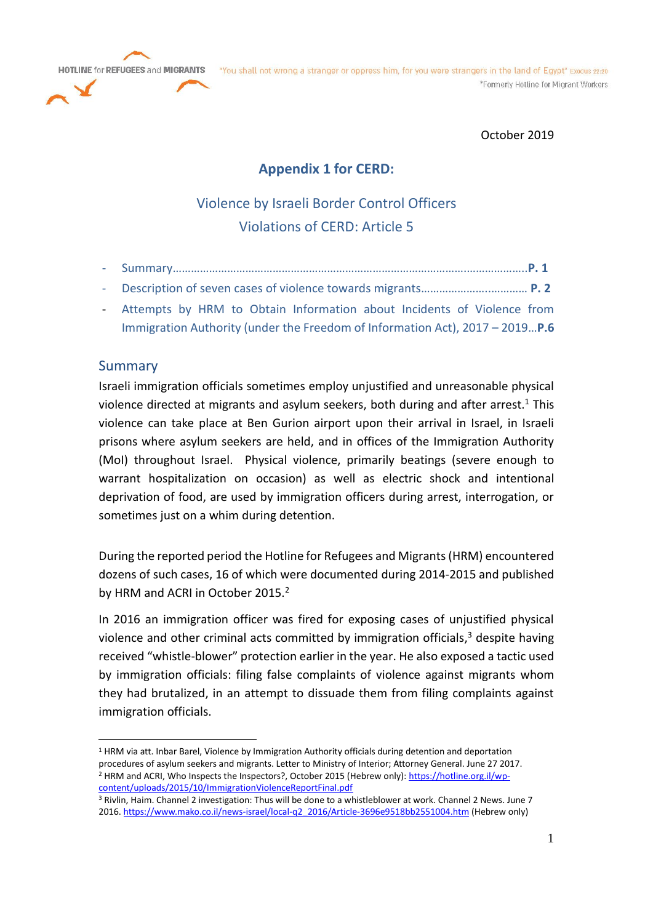



October 2019

# **Appendix 1 for CERD:**

# Violence by Israeli Border Control Officers Violations of CERD: Article 5

- Summary…………………………………………………………………………………….………………..**P. 1**
- Description of seven cases of violence towards migrants…………………..………… **P. 2**
- Attempts by HRM to Obtain Information about Incidents of Violence from Immigration Authority (under the Freedom of Information Act), 2017 – 2019…**P.6**

# Summary

Israeli immigration officials sometimes employ unjustified and unreasonable physical violence directed at migrants and asylum seekers, both during and after arrest.<sup>1</sup> This violence can take place at Ben Gurion airport upon their arrival in Israel, in Israeli prisons where asylum seekers are held, and in offices of the Immigration Authority (MoI) throughout Israel. Physical violence, primarily beatings (severe enough to warrant hospitalization on occasion) as well as electric shock and intentional deprivation of food, are used by immigration officers during arrest, interrogation, or sometimes just on a whim during detention.

During the reported period the Hotline for Refugees and Migrants (HRM) encountered dozens of such cases, 16 of which were documented during 2014-2015 and published by HRM and ACRI in October 2015.<sup>2</sup>

In 2016 an immigration officer was fired for exposing cases of unjustified physical violence and other criminal acts committed by immigration officials,<sup>3</sup> despite having received "whistle-blower" protection earlier in the year. He also exposed a tactic used by immigration officials: filing false complaints of violence against migrants whom they had brutalized, in an attempt to dissuade them from filing complaints against immigration officials.

<sup>1</sup> HRM via att. Inbar Barel, Violence by Immigration Authority officials during detention and deportation procedures of asylum seekers and migrants. Letter to Ministry of Interior; Attorney General. June 27 2017. <sup>2</sup> HRM and ACRI, Who Inspects the Inspectors?, October 2015 (Hebrew only): [https://hotline.org.il/wp](https://hotline.org.il/wp-content/uploads/2015/10/ImmigrationViolenceReportFinal.pdf)[content/uploads/2015/10/ImmigrationViolenceReportFinal.pdf](https://hotline.org.il/wp-content/uploads/2015/10/ImmigrationViolenceReportFinal.pdf)

<sup>3</sup> Rivlin, Haim. Channel 2 investigation: Thus will be done to a whistleblower at work. Channel 2 News. June 7 2016[. https://www.mako.co.il/news-israel/local-q2\\_2016/Article-3696e9518bb2551004.htm](https://www.mako.co.il/news-israel/local-q2_2016/Article-3696e9518bb2551004.htm) (Hebrew only)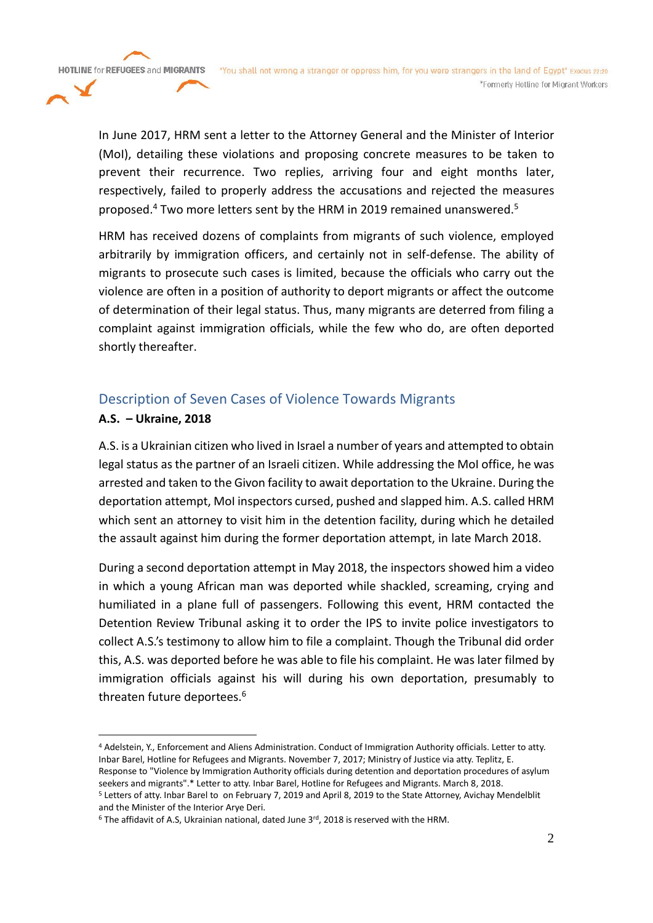In June 2017, HRM sent a letter to the Attorney General and the Minister of Interior (MoI), detailing these violations and proposing concrete measures to be taken to prevent their recurrence. Two replies, arriving four and eight months later, respectively, failed to properly address the accusations and rejected the measures proposed.<sup>4</sup> Two more letters sent by the HRM in 2019 remained unanswered.<sup>5</sup>

HRM has received dozens of complaints from migrants of such violence, employed arbitrarily by immigration officers, and certainly not in self-defense. The ability of migrants to prosecute such cases is limited, because the officials who carry out the violence are often in a position of authority to deport migrants or affect the outcome of determination of their legal status. Thus, many migrants are deterred from filing a complaint against immigration officials, while the few who do, are often deported shortly thereafter.

# Description of Seven Cases of Violence Towards Migrants

## **A.S. – Ukraine, 2018**

**HOTLINE for REFUGEES and MIGRANTS** 

A.S. is a Ukrainian citizen who lived in Israel a number of years and attempted to obtain legal status as the partner of an Israeli citizen. While addressing the MoI office, he was arrested and taken to the Givon facility to await deportation to the Ukraine. During the deportation attempt, MoI inspectors cursed, pushed and slapped him. A.S. called HRM which sent an attorney to visit him in the detention facility, during which he detailed the assault against him during the former deportation attempt, in late March 2018.

During a second deportation attempt in May 2018, the inspectors showed him a video in which a young African man was deported while shackled, screaming, crying and humiliated in a plane full of passengers. Following this event, HRM contacted the Detention Review Tribunal asking it to order the IPS to invite police investigators to collect A.S.'s testimony to allow him to file a complaint. Though the Tribunal did order this, A.S. was deported before he was able to file his complaint. He was later filmed by immigration officials against his will during his own deportation, presumably to threaten future deportees.<sup>6</sup>

<sup>4</sup> Adelstein, Y., Enforcement and Aliens Administration. Conduct of Immigration Authority officials. Letter to atty. Inbar Barel, Hotline for Refugees and Migrants. November 7, 2017; Ministry of Justice via atty. Teplitz, E. Response to "Violence by Immigration Authority officials during detention and deportation procedures of asylum seekers and migrants".\* Letter to atty. Inbar Barel, Hotline for Refugees and Migrants. March 8, 2018.

<sup>5</sup> Letters of atty. Inbar Barel to on February 7, 2019 and April 8, 2019 to the State Attorney, Avichay Mendelblit and the Minister of the Interior Arye Deri.

 $6$  The affidavit of A.S, Ukrainian national, dated June 3<sup>rd</sup>, 2018 is reserved with the HRM.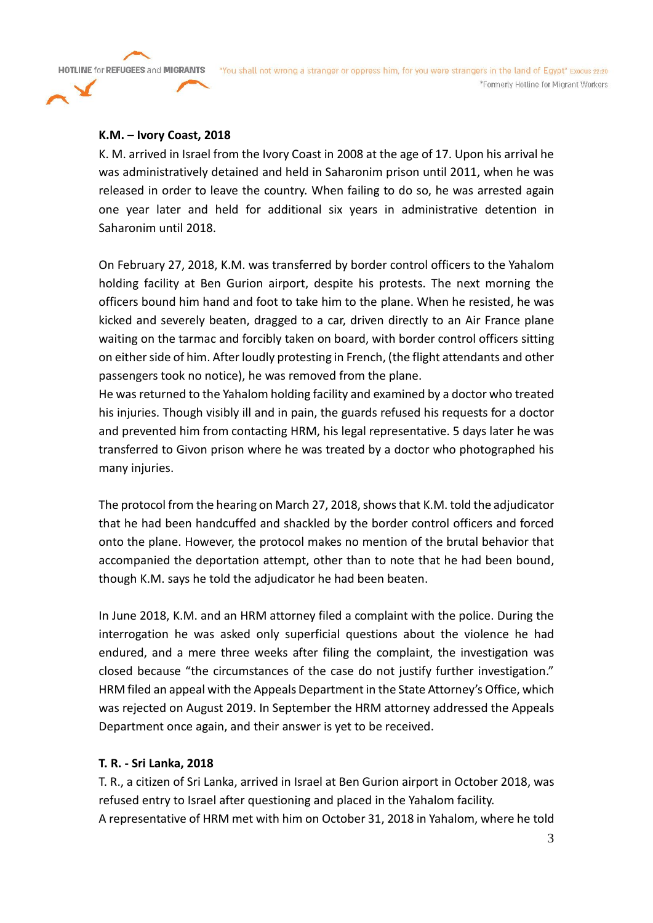**HOTLINE for REFUGEES and MIGRANTS** 

#### **K.M. – Ivory Coast, 2018**

K. M. arrived in Israel from the Ivory Coast in 2008 at the age of 17. Upon his arrival he was administratively detained and held in Saharonim prison until 2011, when he was released in order to leave the country. When failing to do so, he was arrested again one year later and held for additional six years in administrative detention in Saharonim until 2018.

On February 27, 2018, K.M. was transferred by border control officers to the Yahalom holding facility at Ben Gurion airport, despite his protests. The next morning the officers bound him hand and foot to take him to the plane. When he resisted, he was kicked and severely beaten, dragged to a car, driven directly to an Air France plane waiting on the tarmac and forcibly taken on board, with border control officers sitting on either side of him. After loudly protesting in French, (the flight attendants and other passengers took no notice), he was removed from the plane.

He was returned to the Yahalom holding facility and examined by a doctor who treated his injuries. Though visibly ill and in pain, the guards refused his requests for a doctor and prevented him from contacting HRM, his legal representative. 5 days later he was transferred to Givon prison where he was treated by a doctor who photographed his many injuries.

The protocol from the hearing on March 27, 2018, shows that K.M. told the adjudicator that he had been handcuffed and shackled by the border control officers and forced onto the plane. However, the protocol makes no mention of the brutal behavior that accompanied the deportation attempt, other than to note that he had been bound, though K.M. says he told the adjudicator he had been beaten.

In June 2018, K.M. and an HRM attorney filed a complaint with the police. During the interrogation he was asked only superficial questions about the violence he had endured, and a mere three weeks after filing the complaint, the investigation was closed because "the circumstances of the case do not justify further investigation." HRM filed an appeal with the Appeals Department in the State Attorney's Office, which was rejected on August 2019. In September the HRM attorney addressed the Appeals Department once again, and their answer is yet to be received.

#### **T. R. - Sri Lanka, 2018**

T. R., a citizen of Sri Lanka, arrived in Israel at Ben Gurion airport in October 2018, was refused entry to Israel after questioning and placed in the Yahalom facility. A representative of HRM met with him on October 31, 2018 in Yahalom, where he told

3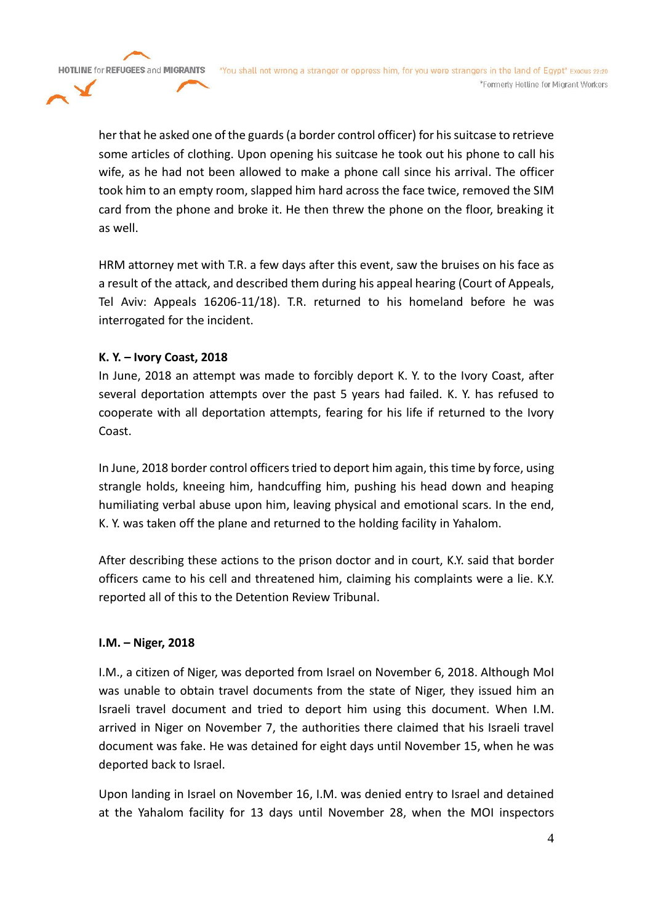**HOTLINE for REFUGEES and MIGRANTS** 

"You shall not wrong a stranger or oppress him, for you were strangers in the land of Egypt" Exodus 22:20 \*Formerly Hotline for Migrant Workers

her that he asked one of the guards (a border control officer) for his suitcase to retrieve some articles of clothing. Upon opening his suitcase he took out his phone to call his wife, as he had not been allowed to make a phone call since his arrival. The officer took him to an empty room, slapped him hard across the face twice, removed the SIM card from the phone and broke it. He then threw the phone on the floor, breaking it as well.

HRM attorney met with T.R. a few days after this event, saw the bruises on his face as a result of the attack, and described them during his appeal hearing (Court of Appeals, Tel Aviv: Appeals 16206-11/18). T.R. returned to his homeland before he was interrogated for the incident.

### **K. Y. – Ivory Coast, 2018**

In June, 2018 an attempt was made to forcibly deport K. Y. to the Ivory Coast, after several deportation attempts over the past 5 years had failed. K. Y. has refused to cooperate with all deportation attempts, fearing for his life if returned to the Ivory Coast.

In June, 2018 border control officers tried to deport him again, this time by force, using strangle holds, kneeing him, handcuffing him, pushing his head down and heaping humiliating verbal abuse upon him, leaving physical and emotional scars. In the end, K. Y. was taken off the plane and returned to the holding facility in Yahalom.

After describing these actions to the prison doctor and in court, K.Y. said that border officers came to his cell and threatened him, claiming his complaints were a lie. K.Y. reported all of this to the Detention Review Tribunal.

### **I.M. – Niger, 2018**

I.M., a citizen of Niger, was deported from Israel on November 6, 2018. Although MoI was unable to obtain travel documents from the state of Niger, they issued him an Israeli travel document and tried to deport him using this document. When I.M. arrived in Niger on November 7, the authorities there claimed that his Israeli travel document was fake. He was detained for eight days until November 15, when he was deported back to Israel.

Upon landing in Israel on November 16, I.M. was denied entry to Israel and detained at the Yahalom facility for 13 days until November 28, when the MOI inspectors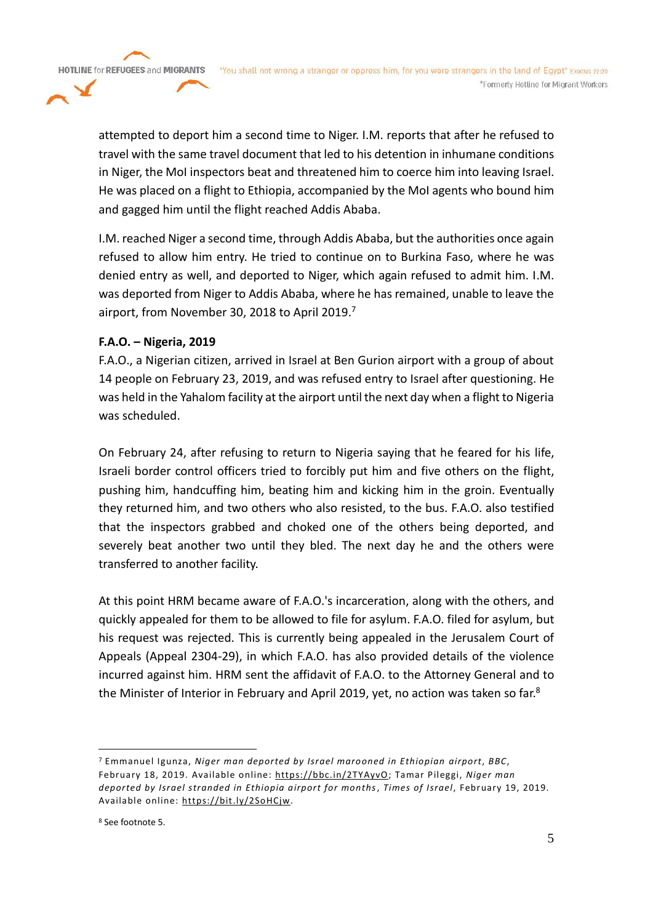attempted to deport him a second time to Niger. I.M. reports that after he refused to travel with the same travel document that led to his detention in inhumane conditions in Niger, the MoI inspectors beat and threatened him to coerce him into leaving Israel. He was placed on a flight to Ethiopia, accompanied by the MoI agents who bound him

and gagged him until the flight reached Addis Ababa.

I.M. reached Niger a second time, through Addis Ababa, but the authorities once again refused to allow him entry. He tried to continue on to Burkina Faso, where he was denied entry as well, and deported to Niger, which again refused to admit him. I.M. was deported from Niger to Addis Ababa, where he has remained, unable to leave the airport, from November 30, 2018 to April 2019. 7

# **F.A.O. – Nigeria, 2019**

**HOTLINE for REFUGEES and MIGRANTS** 

F.A.O., a Nigerian citizen, arrived in Israel at Ben Gurion airport with a group of about 14 people on February 23, 2019, and was refused entry to Israel after questioning. He was held in the Yahalom facility at the airport until the next day when a flight to Nigeria was scheduled.

On February 24, after refusing to return to Nigeria saying that he feared for his life, Israeli border control officers tried to forcibly put him and five others on the flight, pushing him, handcuffing him, beating him and kicking him in the groin. Eventually they returned him, and two others who also resisted, to the bus. F.A.O. also testified that the inspectors grabbed and choked one of the others being deported, and severely beat another two until they bled. The next day he and the others were transferred to another facility.

At this point HRM became aware of F.A.O.'s incarceration, along with the others, and quickly appealed for them to be allowed to file for asylum. F.A.O. filed for asylum, but his request was rejected. This is currently being appealed in the Jerusalem Court of Appeals (Appeal 2304-29), in which F.A.O. has also provided details of the violence incurred against him. HRM sent the affidavit of F.A.O. to the Attorney General and to the Minister of Interior in February and April 2019, yet, no action was taken so far.<sup>8</sup>

<sup>7</sup> Emmanuel Igunza, *Niger man deported by Israel marooned in Ethiopian airport*, *BBC*, February 18, 2019. Available online: [https://bbc.in/2TYAyvO;](https://bbc.in/2TYAyvO) Tamar Pileggi, *Niger man deported by Israel stranded in Ethiopia airport for months*, *Times of Israel*, February 19, 2019. Available online: [https://bit.ly/2SoHCjw.](https://bit.ly/2SoHCjw)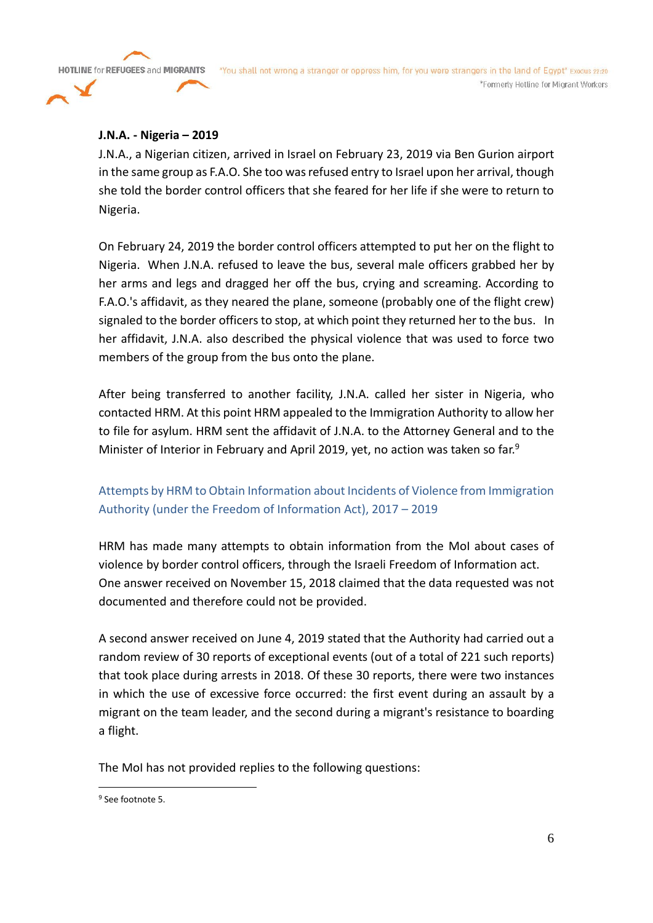**HOTLINE for REFUGEES and MIGRANTS** 

### **J.N.A. - Nigeria – 2019**

J.N.A., a Nigerian citizen, arrived in Israel on February 23, 2019 via Ben Gurion airport in the same group as F.A.O. She too was refused entry to Israel upon her arrival, though she told the border control officers that she feared for her life if she were to return to Nigeria.

On February 24, 2019 the border control officers attempted to put her on the flight to Nigeria. When J.N.A. refused to leave the bus, several male officers grabbed her by her arms and legs and dragged her off the bus, crying and screaming. According to F.A.O.'s affidavit, as they neared the plane, someone (probably one of the flight crew) signaled to the border officers to stop, at which point they returned her to the bus. In her affidavit, J.N.A. also described the physical violence that was used to force two members of the group from the bus onto the plane.

After being transferred to another facility, J.N.A. called her sister in Nigeria, who contacted HRM. At this point HRM appealed to the Immigration Authority to allow her to file for asylum. HRM sent the affidavit of J.N.A. to the Attorney General and to the Minister of Interior in February and April 2019, yet, no action was taken so far.<sup>9</sup>

# Attempts by HRM to Obtain Information about Incidents of Violence from Immigration Authority (under the Freedom of Information Act), 2017 – 2019

HRM has made many attempts to obtain information from the MoI about cases of violence by border control officers, through the Israeli Freedom of Information act. One answer received on November 15, 2018 claimed that the data requested was not documented and therefore could not be provided.

A second answer received on June 4, 2019 stated that the Authority had carried out a random review of 30 reports of exceptional events (out of a total of 221 such reports) that took place during arrests in 2018. Of these 30 reports, there were two instances in which the use of excessive force occurred: the first event during an assault by a migrant on the team leader, and the second during a migrant's resistance to boarding a flight.

The MoI has not provided replies to the following questions:

<sup>9</sup> See footnote 5.